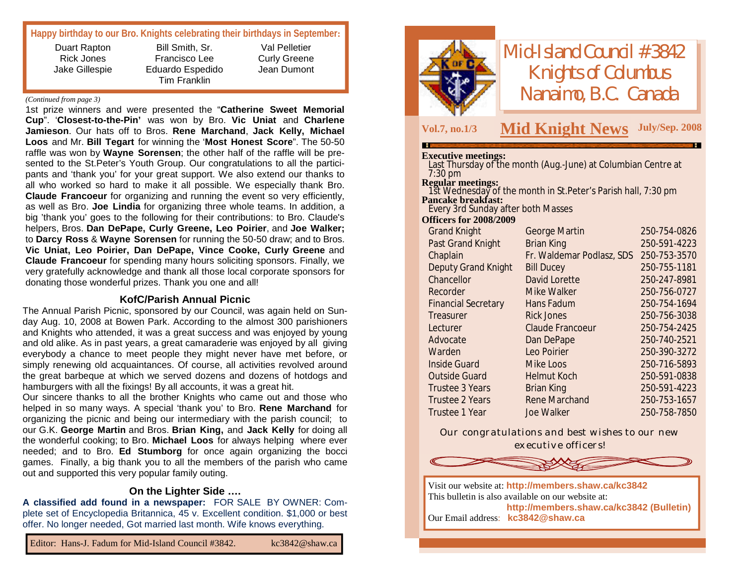|  | Happy birthday to our Bro. Knights celebrating their birthdays in September: |
|--|------------------------------------------------------------------------------|
|  |                                                                              |

| Duart Rapton      | Bill Smith, Sr.  | Val Pelletier       |
|-------------------|------------------|---------------------|
| <b>Rick Jones</b> | Francisco Lee    | <b>Curly Greene</b> |
| Jake Gillespie    | Eduardo Espedido | Jean Dumont         |
|                   | Tim Franklin     |                     |

#### *(Continued from page 3)*

1st prize winners and were presented the "**Catherine Sweet Memorial Cup**". '**Closest-to-the-Pin'** was won by Bro. **Vic Uniat** and **Charlene Jamieson**. Our hats off to Bros. **Rene Marchand**, **Jack Kelly, Michael Loos** and Mr. **Bill Tegart** for winning the '**Most Honest Score**". The 50-50 raffle was won by **Wayne Sorensen**; the other half of the raffle will be presented to the St.Peter's Youth Group. Our congratulations to all the participants and 'thank you' for your great support. We also extend our thanks to all who worked so hard to make it all possible. We especially thank Bro. **Claude Francoeur** for organizing and running the event so very efficiently, as well as Bro. **Joe Lindia** for organizing three whole teams. In addition, a big 'thank you' goes to the following for their contributions: to Bro. Claude's helpers, Bros. **Dan DePape, Curly Greene, Leo Poirier**, and **Joe Walker;** to **Darcy Ross** & **Wayne Sorensen** for running the 50-50 draw; and to Bros. **Vic Uniat, Leo Poirier, Dan DePape, Vince Cooke, Curly Greene** and **Claude Francoeur** for spending many hours soliciting sponsors. Finally, we very gratefully acknowledge and thank all those local corporate sponsors for donating those wonderful prizes. Thank you one and all!

#### **KofC/Parish Annual Picnic**

The Annual Parish Picnic, sponsored by our Council, was again held on Sunday Aug. 10, 2008 at Bowen Park. According to the almost 300 parishioners and Knights who attended, it was a great success and was enjoyed by young and old alike. As in past years, a great camaraderie was enjoyed by all giving everybody a chance to meet people they might never have met before, or simply renewing old acquaintances. Of course, all activities revolved around the great barbeque at which we served dozens and dozens of hotdogs and hamburgers with all the fixings! By all accounts, it was a great hit.

Our sincere thanks to all the brother Knights who came out and those who helped in so many ways. A special 'thank you' to Bro. **Rene Marchand** for organizing the picnic and being our intermediary with the parish council; to our G.K. **George Martin** and Bros. **Brian King,** and **Jack Kelly** for doing all the wonderful cooking; to Bro. **Michael Loos** for always helping where ever needed; and to Bro. **Ed Stumborg** for once again organizing the bocci games. Finally, a big thank you to all the members of the parish who came out and supported this very popular family outing.

#### **On the Lighter Side ….**

**A classified add found in a newspaper:** FOR SALE BY OWNER: Complete set of Encyclopedia Britannica, 45 v. Excellent condition. \$1,000 or best offer. No longer needed, Got married last month. Wife knows everything.



*Mid-Island Council #3842 Knights of Columbus Nanaimo, B.C. Canada*

## **Vol.7, no.1/3 M July/Sep. <sup>2008</sup> id Knight News**

#### **Executive meetings:**

Last Thursday of the month (Aug.-June) at Columbian Centre at 7:30 pm **Regular meetings:** 1st Wednesday of the month in St.Peter's Parish hall, 7:30 pm **Pancake breakfast:** Every 3rd Sunday after both Masses **Officers for 2008/2009**

| <b>Grand Knight</b>        | <b>George Martin</b>      | 250-754-0826 |
|----------------------------|---------------------------|--------------|
| Past Grand Knight          | <b>Brian King</b>         | 250-591-4223 |
| Chaplain                   | Fr. Waldemar Podlasz, SDS | 250-753-3570 |
| <b>Deputy Grand Knight</b> | <b>Bill Ducey</b>         | 250-755-1181 |
| Chancellor                 | David Lorette             | 250-247-8981 |
| Recorder                   | Mike Walker               | 250-756-0727 |
| <b>Financial Secretary</b> | Hans Fadum                | 250-754-1694 |
| Treasurer                  | <b>Rick Jones</b>         | 250-756-3038 |
| Lecturer                   | Claude Francoeur          | 250-754-2425 |
| Advocate                   | Dan DePape                | 250-740-2521 |
| Warden                     | Leo Poirier               | 250-390-3272 |
| <b>Inside Guard</b>        | Mike Loos                 | 250-716-5893 |
| <b>Outside Guard</b>       | <b>Helmut Koch</b>        | 250-591-0838 |
| Trustee 3 Years            | <b>Brian King</b>         | 250-591-4223 |
| <b>Trustee 2 Years</b>     | <b>Rene Marchand</b>      | 250-753-1657 |
| Trustee 1 Year             | Joe Walker                | 250-758-7850 |

*Our congratulations and best wishes to our new executive officers!*



Visit our website at: **<http://members.shaw.ca/kc3842>** This bulletin is also available on our website at: **<http://members.shaw.ca/kc3842> (Bulletin)** Our Email address: **[kc3842@shaw.ca](mailto:kc3842@shaw.ca)**